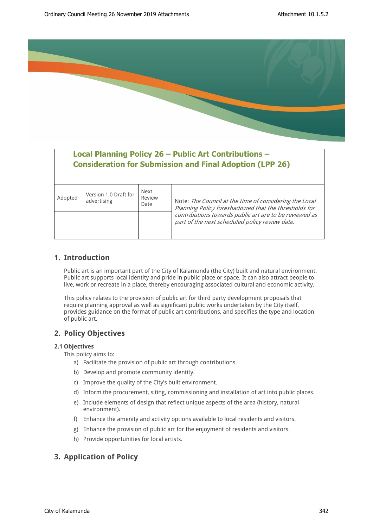

# **Local Planning Policy 26 – Public Art Contributions – Consideration for Submission and Final Adoption (LPP 26)**

| Adopted | Version 1.0 Draft for<br>advertising | Next<br>Review<br>Date | Note: The Council at the time of considering the Local<br>Planning Policy foreshadowed that the thresholds for |  |  |  |  |
|---------|--------------------------------------|------------------------|----------------------------------------------------------------------------------------------------------------|--|--|--|--|
|         |                                      |                        | contributions towards public art are to be reviewed as<br>part of the next scheduled policy review date.       |  |  |  |  |

## **1. Introduction**

Public art is an important part of the City of Kalamunda (the City) built and natural environment. Public art supports local identity and pride in public place or space. It can also attract people to live, work or recreate in a place, thereby encouraging associated cultural and economic activity.

This policy relates to the provision of public art for third party development proposals that require planning approval as well as significant public works undertaken by the City itself, provides guidance on the format of public art contributions, and specifies the type and location of public art.

# **2. Policy Objectives**

## **2.1 Objectives**

This policy aims to:

- a) Facilitate the provision of public art through contributions.
- b) Develop and promote community identity.
- c) Improve the quality of the City's built environment.
- d) Inform the procurement, siting, commissioning and installation of art into public places.
- e) Include elements of design that reflect unique aspects of the area (history, natural environment).
- f) Enhance the amenity and activity options available to local residents and visitors.
- g) Enhance the provision of public art for the enjoyment of residents and visitors.
- h) Provide opportunities for local artists.

## **3. Application of Policy**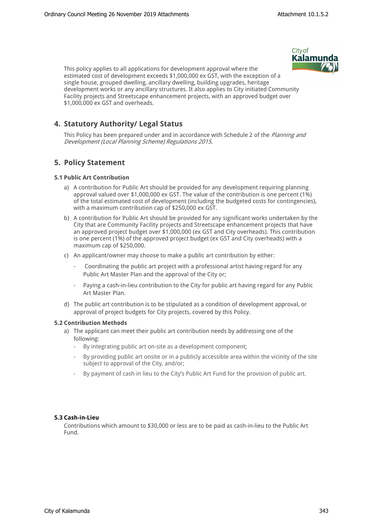

This policy applies to all applications for development approval where the estimated cost of development exceeds \$1,000,000 ex GST, with the exception of a single house, grouped dwelling, ancillary dwelling, building upgrades, heritage development works or any ancillary structures. It also applies to City initiated Community Facility projects and Streetscape enhancement projects, with an approved budget over \$1,000,000 ex GST and overheads.

# **4. Statutory Authority/ Legal Status**

This Policy has been prepared under and in accordance with Schedule 2 of the *Planning and Development (Local Planning Scheme) Regulations 2015.*

## **5. Policy Statement**

## **5.1 Public Art Contribution**

- a) A contribution for Public Art should be provided for any development requiring planning approval valued over \$1,000,000 ex GST. The value of the contribution is one percent (1%) of the total estimated cost of development (including the budgeted costs for contingencies), with a maximum contribution cap of \$250,000 ex GST.
- b) A contribution for Public Art should be provided for any significant works undertaken by the City that are Community Facility projects and Streetscape enhancement projects that have an approved project budget over \$1,000,000 (ex GST and City overheads). This contribution is one percent (1%) of the approved project budget (ex GST and City overheads) with a maximum cap of \$250,000.
- c) An applicant/owner may choose to make a public art contribution by either:
	- Coordinating the public art project with a professional artist having regard for any Public Art Master Plan and the approval of the City or;
	- Paying a cash-in-lieu contribution to the City for public art having regard for any Public Art Master Plan.
- d) The public art contribution is to be stipulated as a condition of development approval, or approval of project budgets for City projects, covered by this Policy.

## **5.2 Contribution Methods**

- a) The applicant can meet their public art contribution needs by addressing one of the following:
	- By integrating public art on-site as a development component;
	- By providing public art onsite or in a publicly accessible area within the vicinity of the site subject to approval of the City, and/or;
	- By payment of cash in lieu to the City's Public Art Fund for the provision of public art.

#### **5.3 Cash-in-Lieu**

Contributions which amount to \$30,000 or less are to be paid as cash-in-lieu to the Public Art Fund.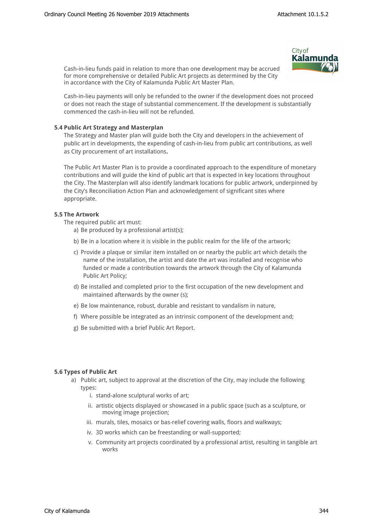Cash-in-lieu funds paid in relation to more than one development may be accrued for more comprehensive or detailed Public Art projects as determined by the City in accordance with the City of Kalamunda Public Art Master Plan.



Cash-in-lieu payments will only be refunded to the owner if the development does not proceed or does not reach the stage of substantial commencement. If the development is substantially commenced the cash-in-lieu will not be refunded.

## **5.4 Public Art Strategy and Masterplan**

The Strategy and Master plan will guide both the City and developers in the achievement of public art in developments, the expending of cash-in-lieu from public art contributions, as well as City procurement of art installations.

The Public Art Master Plan is to provide a coordinated approach to the expenditure of monetary contributions and will guide the kind of public art that is expected in key locations throughout the City. The Masterplan will also identify landmark locations for public artwork, underpinned by the City's Reconciliation Action Plan and acknowledgement of significant sites where appropriate.

## **5.5 The Artwork**

The required public art must:

- a) Be produced by a professional artist(s);
- b) Be in a location where it is visible in the public realm for the life of the artwork;
- c) Provide a plaque or similar item installed on or nearby the public art which details the name of the installation, the artist and date the art was installed and recognise who funded or made a contribution towards the artwork through the City of Kalamunda Public Art Policy;
- d) Be installed and completed prior to the first occupation of the new development and maintained afterwards by the owner (s);
- e) Be low maintenance, robust, durable and resistant to vandalism in nature,
- f) Where possible be integrated as an intrinsic component of the development and;
- g) Be submitted with a brief Public Art Report.

#### **5.6 Types of Public Art**

- a) Public art, subject to approval at the discretion of the City, may include the following types:
	- i. stand-alone sculptural works of art;
	- ii. artistic objects displayed or showcased in a public space (such as a sculpture, or moving image projection;
	- iii. murals, tiles, mosaics or bas-relief covering walls, floors and walkways;
	- iv. 3D works which can be freestanding or wall-supported;
	- v. Community art projects coordinated by a professional artist, resulting in tangible art works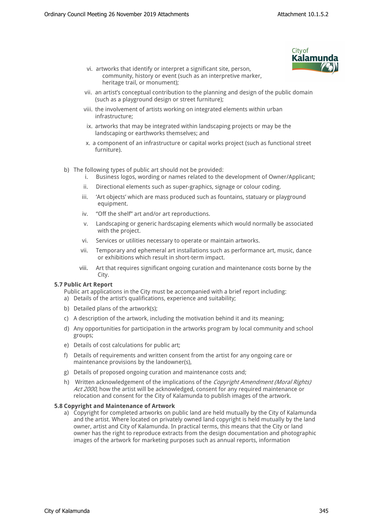

- vi. artworks that identify or interpret a significant site, person, community, history or event (such as an interpretive marker, heritage trail, or monument);
- vii. an artist's conceptual contribution to the planning and design of the public domain (such as a playground design or street furniture);
- viii. the involvement of artists working on integrated elements within urban infrastructure;
- ix. artworks that may be integrated within landscaping projects or may be the landscaping or earthworks themselves; and
- x. a component of an infrastructure or capital works project (such as functional street furniture).
- b) The following types of public art should not be provided:
	- i. Business logos, wording or names related to the development of Owner/Applicant;
	- ii. Directional elements such as super-graphics, signage or colour coding.
	- iii. 'Art objects' which are mass produced such as fountains, statuary or playground equipment.
	- iv. "Off the shelf" art and/or art reproductions.
	- v. Landscaping or generic hardscaping elements which would normally be associated with the project.
	- vi. Services or utilities necessary to operate or maintain artworks.
	- vii. Temporary and ephemeral art installations such as performance art, music, dance or exhibitions which result in short-term impact.
	- viii. Art that requires significant ongoing curation and maintenance costs borne by the City.

#### **5.7 Public Art Report**

- Public art applications in the City must be accompanied with a brief report including:
- a) Details of the artist's qualifications, experience and suitability;
- b) Detailed plans of the artwork(s);
- c) A description of the artwork, including the motivation behind it and its meaning;
- d) Any opportunities for participation in the artworks program by local community and school groups;
- e) Details of cost calculations for public art;
- f) Details of requirements and written consent from the artist for any ongoing care or maintenance provisions by the landowner(s),
- g) Details of proposed ongoing curation and maintenance costs and;
- h) Written acknowledgement of the implications of the *Copyright Amendment (Moral Rights) Act 2000*, how the artist will be acknowledged, consent for any required maintenance or relocation and consent for the City of Kalamunda to publish images of the artwork.

#### **5.8 Copyright and Maintenance of Artwork**

a) Copyright for completed artworks on public land are held mutually by the City of Kalamunda and the artist. Where located on privately owned land copyright is held mutually by the land owner, artist and City of Kalamunda. In practical terms, this means that the City or land owner has the right to reproduce extracts from the design documentation and photographic images of the artwork for marketing purposes such as annual reports, information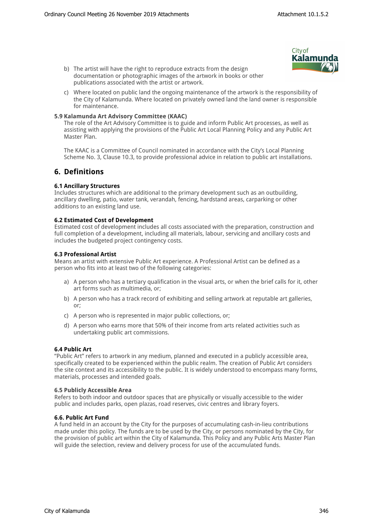- **City of** Kalamund
- b) The artist will have the right to reproduce extracts from the design documentation or photographic images of the artwork in books or other publications associated with the artist or artwork.
- c) Where located on public land the ongoing maintenance of the artwork is the responsibility of the City of Kalamunda. Where located on privately owned land the land owner is responsible for maintenance.

## **5.9 Kalamunda Art Advisory Committee (KAAC)**

The role of the Art Advisory Committee is to guide and inform Public Art processes, as well as assisting with applying the provisions of the Public Art Local Planning Policy and any Public Art Master Plan.

The KAAC is a Committee of Council nominated in accordance with the City's Local Planning Scheme No. 3, Clause 10.3, to provide professional advice in relation to public art installations.

## **6. Definitions**

## **6.1 Ancillary Structures**

Includes structures which are additional to the primary development such as an outbuilding, ancillary dwelling, patio, water tank, verandah, fencing, hardstand areas, carparking or other additions to an existing land use.

## **6.2 Estimated Cost of Development**

Estimated cost of development includes all costs associated with the preparation, construction and full completion of a development, including all materials, labour, servicing and ancillary costs and includes the budgeted project contingency costs.

## **6.3 Professional Artist**

Means an artist with extensive Public Art experience. A Professional Artist can be defined as a person who fits into at least two of the following categories:

- a) A person who has a tertiary qualification in the visual arts, or when the brief calls for it, other art forms such as multimedia, or;
- b) A person who has a track record of exhibiting and selling artwork at reputable art galleries, or;
- c) A person who is represented in major public collections, or;
- d) A person who earns more that 50% of their income from arts related activities such as undertaking public art commissions.

## **6.4 Public Art**

"Public Art" refers to artwork in any medium, planned and executed in a publicly accessible area, specifically created to be experienced within the public realm. The creation of Public Art considers the site context and its accessibility to the public. It is widely understood to encompass many forms, materials, processes and intended goals.

#### **6.5 Publicly Accessible Area**

Refers to both indoor and outdoor spaces that are physically or visually accessible to the wider public and includes parks, open plazas, road reserves, civic centres and library foyers.

#### **6.6. Public Art Fund**

A fund held in an account by the City for the purposes of accumulating cash-in-lieu contributions made under this policy. The funds are to be used by the City, or persons nominated by the City, for the provision of public art within the City of Kalamunda. This Policy and any Public Arts Master Plan will guide the selection, review and delivery process for use of the accumulated funds.